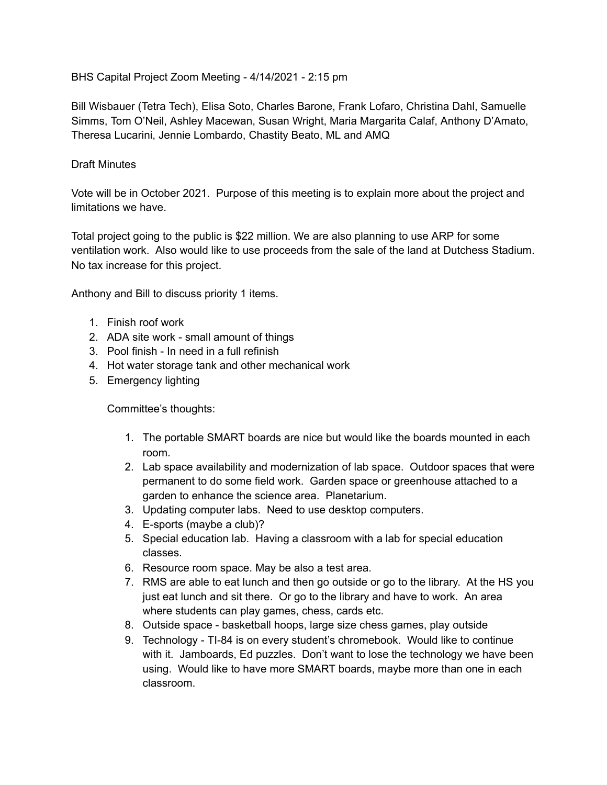BHS Capital Project Zoom Meeting - 4/14/2021 - 2:15 pm

Bill Wisbauer (Tetra Tech), Elisa Soto, Charles Barone, Frank Lofaro, Christina Dahl, Samuelle Simms, Tom O'Neil, Ashley Macewan, Susan Wright, Maria Margarita Calaf, Anthony D'Amato, Theresa Lucarini, Jennie Lombardo, Chastity Beato, ML and AMQ

## Draft Minutes

Vote will be in October 2021. Purpose of this meeting is to explain more about the project and limitations we have.

Total project going to the public is \$22 million. We are also planning to use ARP for some ventilation work. Also would like to use proceeds from the sale of the land at Dutchess Stadium. No tax increase for this project.

Anthony and Bill to discuss priority 1 items.

- 1. Finish roof work
- 2. ADA site work small amount of things
- 3. Pool finish In need in a full refinish
- 4. Hot water storage tank and other mechanical work
- 5. Emergency lighting

Committee's thoughts:

- 1. The portable SMART boards are nice but would like the boards mounted in each room.
- 2. Lab space availability and modernization of lab space. Outdoor spaces that were permanent to do some field work. Garden space or greenhouse attached to a garden to enhance the science area. Planetarium.
- 3. Updating computer labs. Need to use desktop computers.
- 4. E-sports (maybe a club)?
- 5. Special education lab. Having a classroom with a lab for special education classes.
- 6. Resource room space. May be also a test area.
- 7. RMS are able to eat lunch and then go outside or go to the library. At the HS you just eat lunch and sit there. Or go to the library and have to work. An area where students can play games, chess, cards etc.
- 8. Outside space basketball hoops, large size chess games, play outside
- 9. Technology TI-84 is on every student's chromebook. Would like to continue with it. Jamboards, Ed puzzles. Don't want to lose the technology we have been using. Would like to have more SMART boards, maybe more than one in each classroom.